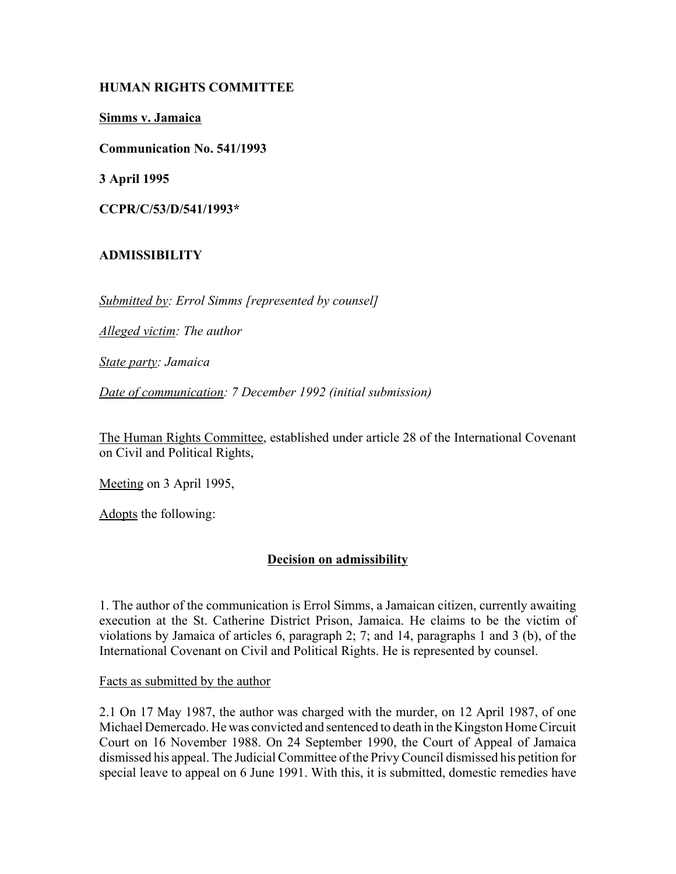### **HUMAN RIGHTS COMMITTEE**

**Simms v. Jamaica**

**Communication No. 541/1993**

**3 April 1995**

**CCPR/C/53/D/541/1993\***

# **ADMISSIBILITY**

*Submitted by: Errol Simms [represented by counsel]*

*Alleged victim: The author*

*State party: Jamaica*

*Date of communication: 7 December 1992 (initial submission)*

The Human Rights Committee, established under article 28 of the International Covenant on Civil and Political Rights,

Meeting on 3 April 1995,

Adopts the following:

# **Decision on admissibility**

1. The author of the communication is Errol Simms, a Jamaican citizen, currently awaiting execution at the St. Catherine District Prison, Jamaica. He claims to be the victim of violations by Jamaica of articles 6, paragraph 2; 7; and 14, paragraphs 1 and 3 (b), of the International Covenant on Civil and Political Rights. He is represented by counsel.

Facts as submitted by the author

2.1 On 17 May 1987, the author was charged with the murder, on 12 April 1987, of one Michael Demercado. He was convicted and sentenced to death in the Kingston Home Circuit Court on 16 November 1988. On 24 September 1990, the Court of Appeal of Jamaica dismissed his appeal. The Judicial Committee of the Privy Council dismissed his petition for special leave to appeal on 6 June 1991. With this, it is submitted, domestic remedies have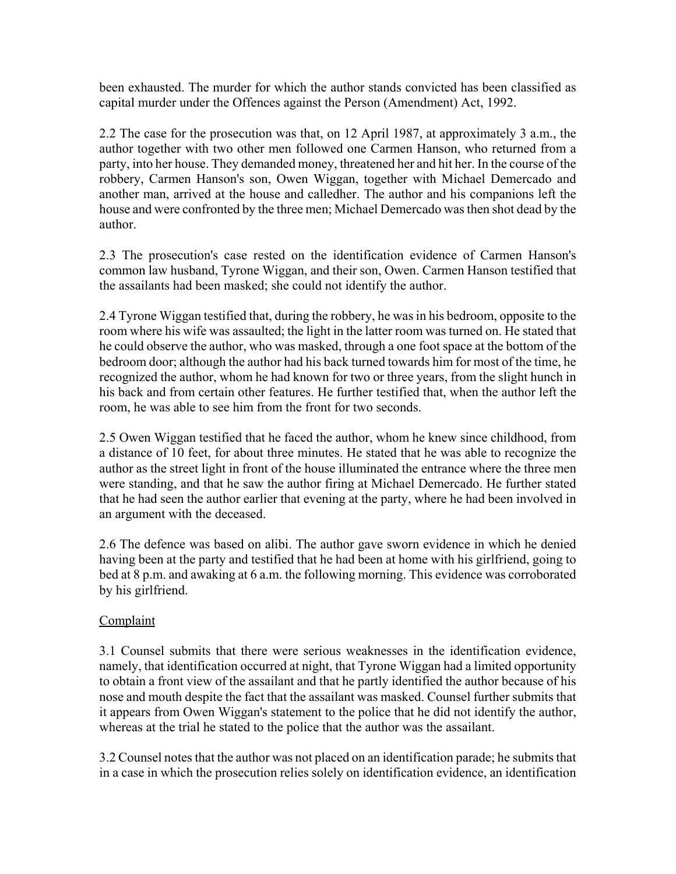been exhausted. The murder for which the author stands convicted has been classified as capital murder under the Offences against the Person (Amendment) Act, 1992.

2.2 The case for the prosecution was that, on 12 April 1987, at approximately 3 a.m., the author together with two other men followed one Carmen Hanson, who returned from a party, into her house. They demanded money, threatened her and hit her. In the course of the robbery, Carmen Hanson's son, Owen Wiggan, together with Michael Demercado and another man, arrived at the house and calledher. The author and his companions left the house and were confronted by the three men; Michael Demercado was then shot dead by the author.

2.3 The prosecution's case rested on the identification evidence of Carmen Hanson's common law husband, Tyrone Wiggan, and their son, Owen. Carmen Hanson testified that the assailants had been masked; she could not identify the author.

2.4 Tyrone Wiggan testified that, during the robbery, he was in his bedroom, opposite to the room where his wife was assaulted; the light in the latter room was turned on. He stated that he could observe the author, who was masked, through a one foot space at the bottom of the bedroom door; although the author had his back turned towards him for most of the time, he recognized the author, whom he had known for two or three years, from the slight hunch in his back and from certain other features. He further testified that, when the author left the room, he was able to see him from the front for two seconds.

2.5 Owen Wiggan testified that he faced the author, whom he knew since childhood, from a distance of 10 feet, for about three minutes. He stated that he was able to recognize the author as the street light in front of the house illuminated the entrance where the three men were standing, and that he saw the author firing at Michael Demercado. He further stated that he had seen the author earlier that evening at the party, where he had been involved in an argument with the deceased.

2.6 The defence was based on alibi. The author gave sworn evidence in which he denied having been at the party and testified that he had been at home with his girlfriend, going to bed at 8 p.m. and awaking at 6 a.m. the following morning. This evidence was corroborated by his girlfriend.

# **Complaint**

3.1 Counsel submits that there were serious weaknesses in the identification evidence, namely, that identification occurred at night, that Tyrone Wiggan had a limited opportunity to obtain a front view of the assailant and that he partly identified the author because of his nose and mouth despite the fact that the assailant was masked. Counsel further submits that it appears from Owen Wiggan's statement to the police that he did not identify the author, whereas at the trial he stated to the police that the author was the assailant.

3.2 Counsel notes that the author was not placed on an identification parade; he submits that in a case in which the prosecution relies solely on identification evidence, an identification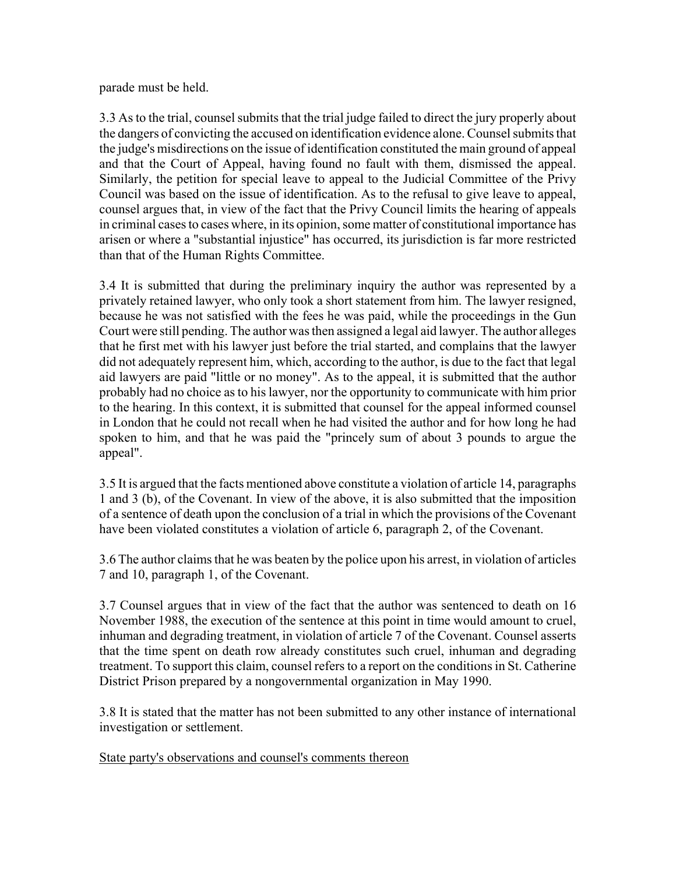parade must be held.

3.3 As to the trial, counsel submits that the trial judge failed to direct the jury properly about the dangers of convicting the accused on identification evidence alone. Counsel submits that the judge's misdirections on the issue of identification constituted the main ground of appeal and that the Court of Appeal, having found no fault with them, dismissed the appeal. Similarly, the petition for special leave to appeal to the Judicial Committee of the Privy Council was based on the issue of identification. As to the refusal to give leave to appeal, counsel argues that, in view of the fact that the Privy Council limits the hearing of appeals in criminal cases to cases where, in its opinion, some matter of constitutional importance has arisen or where a "substantial injustice" has occurred, its jurisdiction is far more restricted than that of the Human Rights Committee.

3.4 It is submitted that during the preliminary inquiry the author was represented by a privately retained lawyer, who only took a short statement from him. The lawyer resigned, because he was not satisfied with the fees he was paid, while the proceedings in the Gun Court were still pending. The author was then assigned a legal aid lawyer. The author alleges that he first met with his lawyer just before the trial started, and complains that the lawyer did not adequately represent him, which, according to the author, is due to the fact that legal aid lawyers are paid "little or no money". As to the appeal, it is submitted that the author probably had no choice as to his lawyer, nor the opportunity to communicate with him prior to the hearing. In this context, it is submitted that counsel for the appeal informed counsel in London that he could not recall when he had visited the author and for how long he had spoken to him, and that he was paid the "princely sum of about 3 pounds to argue the appeal".

3.5 It is argued that the facts mentioned above constitute a violation of article 14, paragraphs 1 and 3 (b), of the Covenant. In view of the above, it is also submitted that the imposition of a sentence of death upon the conclusion of a trial in which the provisions of the Covenant have been violated constitutes a violation of article 6, paragraph 2, of the Covenant.

3.6 The author claims that he was beaten by the police upon his arrest, in violation of articles 7 and 10, paragraph 1, of the Covenant.

3.7 Counsel argues that in view of the fact that the author was sentenced to death on 16 November 1988, the execution of the sentence at this point in time would amount to cruel, inhuman and degrading treatment, in violation of article 7 of the Covenant. Counsel asserts that the time spent on death row already constitutes such cruel, inhuman and degrading treatment. To support this claim, counsel refers to a report on the conditions in St. Catherine District Prison prepared by a nongovernmental organization in May 1990.

3.8 It is stated that the matter has not been submitted to any other instance of international investigation or settlement.

State party's observations and counsel's comments thereon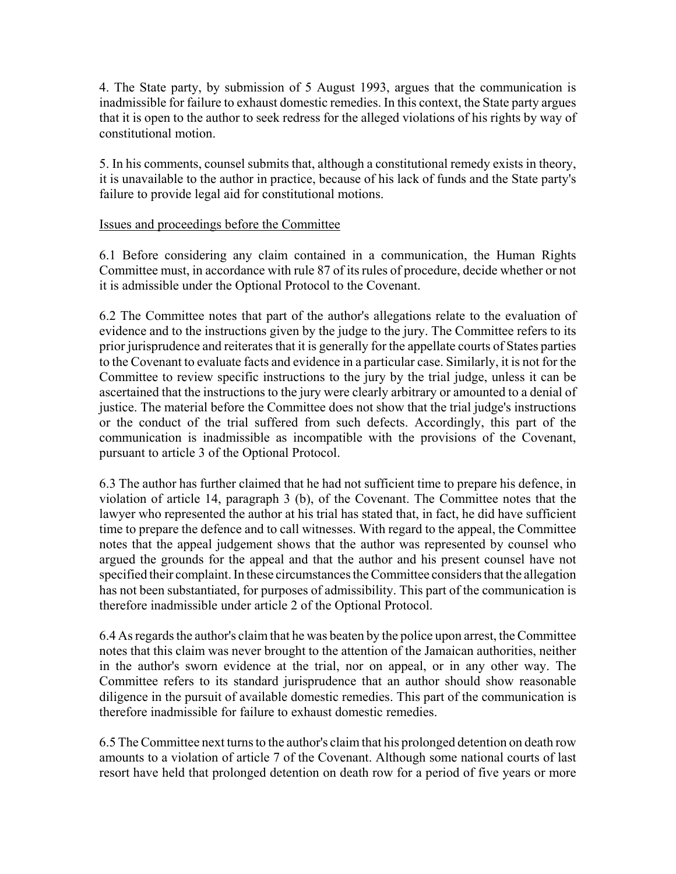4. The State party, by submission of 5 August 1993, argues that the communication is inadmissible for failure to exhaust domestic remedies. In this context, the State party argues that it is open to the author to seek redress for the alleged violations of his rights by way of constitutional motion.

5. In his comments, counsel submits that, although a constitutional remedy exists in theory, it is unavailable to the author in practice, because of his lack of funds and the State party's failure to provide legal aid for constitutional motions.

### Issues and proceedings before the Committee

6.1 Before considering any claim contained in a communication, the Human Rights Committee must, in accordance with rule 87 of its rules of procedure, decide whether or not it is admissible under the Optional Protocol to the Covenant.

6.2 The Committee notes that part of the author's allegations relate to the evaluation of evidence and to the instructions given by the judge to the jury. The Committee refers to its prior jurisprudence and reiterates that it is generally for the appellate courts of States parties to the Covenant to evaluate facts and evidence in a particular case. Similarly, it is not for the Committee to review specific instructions to the jury by the trial judge, unless it can be ascertained that the instructions to the jury were clearly arbitrary or amounted to a denial of justice. The material before the Committee does not show that the trial judge's instructions or the conduct of the trial suffered from such defects. Accordingly, this part of the communication is inadmissible as incompatible with the provisions of the Covenant, pursuant to article 3 of the Optional Protocol.

6.3 The author has further claimed that he had not sufficient time to prepare his defence, in violation of article 14, paragraph 3 (b), of the Covenant. The Committee notes that the lawyer who represented the author at his trial has stated that, in fact, he did have sufficient time to prepare the defence and to call witnesses. With regard to the appeal, the Committee notes that the appeal judgement shows that the author was represented by counsel who argued the grounds for the appeal and that the author and his present counsel have not specified their complaint. In these circumstances the Committee considers that the allegation has not been substantiated, for purposes of admissibility. This part of the communication is therefore inadmissible under article 2 of the Optional Protocol.

6.4 As regards the author's claim that he was beaten by the police upon arrest, the Committee notes that this claim was never brought to the attention of the Jamaican authorities, neither in the author's sworn evidence at the trial, nor on appeal, or in any other way. The Committee refers to its standard jurisprudence that an author should show reasonable diligence in the pursuit of available domestic remedies. This part of the communication is therefore inadmissible for failure to exhaust domestic remedies.

6.5 The Committee next turns to the author's claim that his prolonged detention on death row amounts to a violation of article 7 of the Covenant. Although some national courts of last resort have held that prolonged detention on death row for a period of five years or more